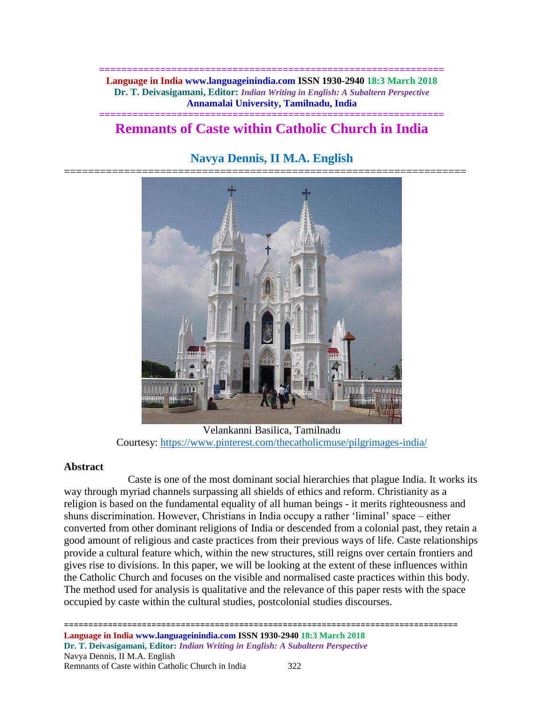**============================================================== Language in India www.languageinindia.com ISSN 1930-2940 18:3 March 2018 Dr. T. Deivasigamani, Editor:** *Indian Writing in English: A Subaltern Perspective* **Annamalai University, Tamilnadu, India**

# **============================================================== Remnants of Caste within Catholic Church in India**

# **Navya Dennis, II M.A. English**



Velankanni Basilica, Tamilnadu Courtesy:<https://www.pinterest.com/thecatholicmuse/pilgrimages-india/>

# **Abstract**

Caste is one of the most dominant social hierarchies that plague India. It works its way through myriad channels surpassing all shields of ethics and reform. Christianity as a religion is based on the fundamental equality of all human beings - it merits righteousness and shuns discrimination. However, Christians in India occupy a rather 'liminal' space – either converted from other dominant religions of India or descended from a colonial past, they retain a good amount of religious and caste practices from their previous ways of life. Caste relationships provide a cultural feature which, within the new structures, still reigns over certain frontiers and gives rise to divisions. In this paper, we will be looking at the extent of these influences within the Catholic Church and focuses on the visible and normalised caste practices within this body. The method used for analysis is qualitative and the relevance of this paper rests with the space occupied by caste within the cultural studies, postcolonial studies discourses.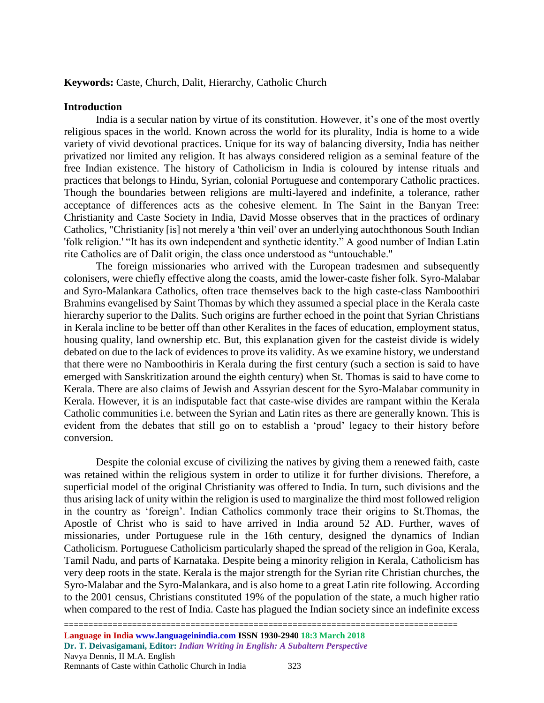#### **Keywords:** Caste, Church, Dalit, Hierarchy, Catholic Church

#### **Introduction**

India is a secular nation by virtue of its constitution. However, it's one of the most overtly religious spaces in the world. Known across the world for its plurality, India is home to a wide variety of vivid devotional practices. Unique for its way of balancing diversity, India has neither privatized nor limited any religion. It has always considered religion as a seminal feature of the free Indian existence. The history of Catholicism in India is coloured by intense rituals and practices that belongs to Hindu, Syrian, colonial Portuguese and contemporary Catholic practices. Though the boundaries between religions are multi-layered and indefinite, a tolerance, rather acceptance of differences acts as the cohesive element. In The Saint in the Banyan Tree: Christianity and Caste Society in India, David Mosse observes that in the practices of ordinary Catholics, "Christianity [is] not merely a 'thin veil' over an underlying autochthonous South Indian 'folk religion.' "It has its own independent and synthetic identity." A good number of Indian Latin rite Catholics are of Dalit origin, the class once understood as "untouchable."

The foreign missionaries who arrived with the European tradesmen and subsequently colonisers, were chiefly effective along the coasts, amid the lower-caste fisher folk. Syro-Malabar and Syro-Malankara Catholics, often trace themselves back to the high caste-class Namboothiri Brahmins evangelised by Saint Thomas by which they assumed a special place in the Kerala caste hierarchy superior to the Dalits. Such origins are further echoed in the point that Syrian Christians in Kerala incline to be better off than other Keralites in the faces of education, employment status, housing quality, land ownership etc. But, this explanation given for the casteist divide is widely debated on due to the lack of evidences to prove its validity. As we examine history, we understand that there were no Namboothiris in Kerala during the first century (such a section is said to have emerged with Sanskritization around the eighth century) when St. Thomas is said to have come to Kerala. There are also claims of Jewish and Assyrian descent for the Syro-Malabar community in Kerala. However, it is an indisputable fact that caste-wise divides are rampant within the Kerala Catholic communities i.e. between the Syrian and Latin rites as there are generally known. This is evident from the debates that still go on to establish a 'proud' legacy to their history before conversion.

Despite the colonial excuse of civilizing the natives by giving them a renewed faith, caste was retained within the religious system in order to utilize it for further divisions. Therefore, a superficial model of the original Christianity was offered to India. In turn, such divisions and the thus arising lack of unity within the religion is used to marginalize the third most followed religion in the country as 'foreign'. Indian Catholics commonly trace their origins to St.Thomas, the Apostle of Christ who is said to have arrived in India around 52 AD. Further, waves of missionaries, under Portuguese rule in the 16th century, designed the dynamics of Indian Catholicism. Portuguese Catholicism particularly shaped the spread of the religion in Goa, Kerala, Tamil Nadu, and parts of Karnataka. Despite being a minority religion in Kerala, Catholicism has very deep roots in the state. Kerala is the major strength for the Syrian rite Christian churches, the Syro-Malabar and the Syro-Malankara, and is also home to a great Latin rite following. According to the 2001 census, Christians constituted 19% of the population of the state, a much higher ratio when compared to the rest of India. Caste has plagued the Indian society since an indefinite excess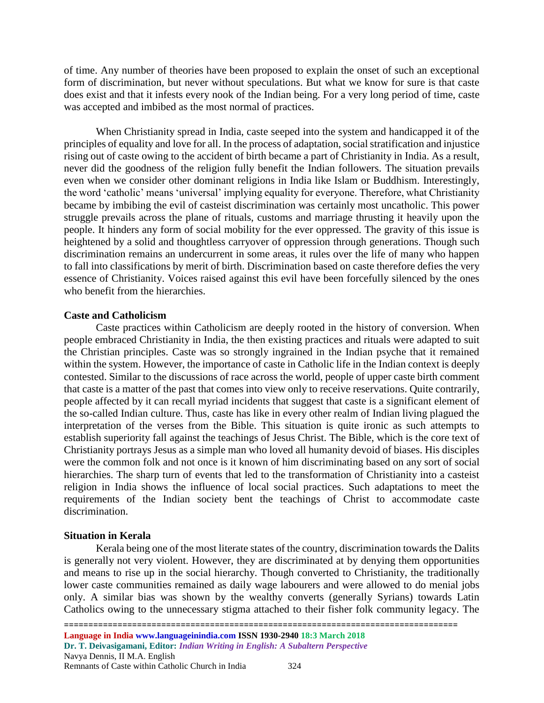of time. Any number of theories have been proposed to explain the onset of such an exceptional form of discrimination, but never without speculations. But what we know for sure is that caste does exist and that it infests every nook of the Indian being. For a very long period of time, caste was accepted and imbibed as the most normal of practices.

When Christianity spread in India, caste seeped into the system and handicapped it of the principles of equality and love for all. In the process of adaptation, social stratification and injustice rising out of caste owing to the accident of birth became a part of Christianity in India. As a result, never did the goodness of the religion fully benefit the Indian followers. The situation prevails even when we consider other dominant religions in India like Islam or Buddhism. Interestingly, the word 'catholic' means 'universal' implying equality for everyone. Therefore, what Christianity became by imbibing the evil of casteist discrimination was certainly most uncatholic. This power struggle prevails across the plane of rituals, customs and marriage thrusting it heavily upon the people. It hinders any form of social mobility for the ever oppressed. The gravity of this issue is heightened by a solid and thoughtless carryover of oppression through generations. Though such discrimination remains an undercurrent in some areas, it rules over the life of many who happen to fall into classifications by merit of birth. Discrimination based on caste therefore defies the very essence of Christianity. Voices raised against this evil have been forcefully silenced by the ones who benefit from the hierarchies.

## **Caste and Catholicism**

Caste practices within Catholicism are deeply rooted in the history of conversion. When people embraced Christianity in India, the then existing practices and rituals were adapted to suit the Christian principles. Caste was so strongly ingrained in the Indian psyche that it remained within the system. However, the importance of caste in Catholic life in the Indian context is deeply contested. Similar to the discussions of race across the world, people of upper caste birth comment that caste is a matter of the past that comes into view only to receive reservations. Quite contrarily, people affected by it can recall myriad incidents that suggest that caste is a significant element of the so-called Indian culture. Thus, caste has like in every other realm of Indian living plagued the interpretation of the verses from the Bible. This situation is quite ironic as such attempts to establish superiority fall against the teachings of Jesus Christ. The Bible, which is the core text of Christianity portrays Jesus as a simple man who loved all humanity devoid of biases. His disciples were the common folk and not once is it known of him discriminating based on any sort of social hierarchies. The sharp turn of events that led to the transformation of Christianity into a casteist religion in India shows the influence of local social practices. Such adaptations to meet the requirements of the Indian society bent the teachings of Christ to accommodate caste discrimination.

# **Situation in Kerala**

Kerala being one of the most literate states of the country, discrimination towards the Dalits is generally not very violent. However, they are discriminated at by denying them opportunities and means to rise up in the social hierarchy. Though converted to Christianity, the traditionally lower caste communities remained as daily wage labourers and were allowed to do menial jobs only. A similar bias was shown by the wealthy converts (generally Syrians) towards Latin Catholics owing to the unnecessary stigma attached to their fisher folk community legacy. The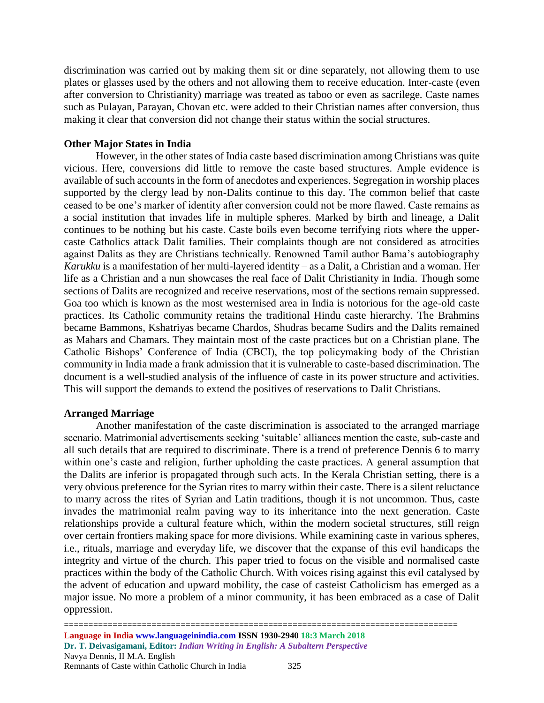discrimination was carried out by making them sit or dine separately, not allowing them to use plates or glasses used by the others and not allowing them to receive education. Inter-caste (even after conversion to Christianity) marriage was treated as taboo or even as sacrilege. Caste names such as Pulayan, Parayan, Chovan etc. were added to their Christian names after conversion, thus making it clear that conversion did not change their status within the social structures.

## **Other Major States in India**

However, in the other states of India caste based discrimination among Christians was quite vicious. Here, conversions did little to remove the caste based structures. Ample evidence is available of such accounts in the form of anecdotes and experiences. Segregation in worship places supported by the clergy lead by non-Dalits continue to this day. The common belief that caste ceased to be one's marker of identity after conversion could not be more flawed. Caste remains as a social institution that invades life in multiple spheres. Marked by birth and lineage, a Dalit continues to be nothing but his caste. Caste boils even become terrifying riots where the uppercaste Catholics attack Dalit families. Their complaints though are not considered as atrocities against Dalits as they are Christians technically. Renowned Tamil author Bama's autobiography *Karukku* is a manifestation of her multi-layered identity – as a Dalit, a Christian and a woman. Her life as a Christian and a nun showcases the real face of Dalit Christianity in India. Though some sections of Dalits are recognized and receive reservations, most of the sections remain suppressed. Goa too which is known as the most westernised area in India is notorious for the age-old caste practices. Its Catholic community retains the traditional Hindu caste hierarchy. The Brahmins became Bammons, Kshatriyas became Chardos, Shudras became Sudirs and the Dalits remained as Mahars and Chamars. They maintain most of the caste practices but on a Christian plane. The Catholic Bishops' Conference of India (CBCI), the top policymaking body of the Christian community in India made a frank admission that it is vulnerable to caste-based discrimination. The document is a well-studied analysis of the influence of caste in its power structure and activities. This will support the demands to extend the positives of reservations to Dalit Christians.

#### **Arranged Marriage**

Another manifestation of the caste discrimination is associated to the arranged marriage scenario. Matrimonial advertisements seeking 'suitable' alliances mention the caste, sub-caste and all such details that are required to discriminate. There is a trend of preference Dennis 6 to marry within one's caste and religion, further upholding the caste practices. A general assumption that the Dalits are inferior is propagated through such acts. In the Kerala Christian setting, there is a very obvious preference for the Syrian rites to marry within their caste. There is a silent reluctance to marry across the rites of Syrian and Latin traditions, though it is not uncommon. Thus, caste invades the matrimonial realm paving way to its inheritance into the next generation. Caste relationships provide a cultural feature which, within the modern societal structures, still reign over certain frontiers making space for more divisions. While examining caste in various spheres, i.e., rituals, marriage and everyday life, we discover that the expanse of this evil handicaps the integrity and virtue of the church. This paper tried to focus on the visible and normalised caste practices within the body of the Catholic Church. With voices rising against this evil catalysed by the advent of education and upward mobility, the case of casteist Catholicism has emerged as a major issue. No more a problem of a minor community, it has been embraced as a case of Dalit oppression.